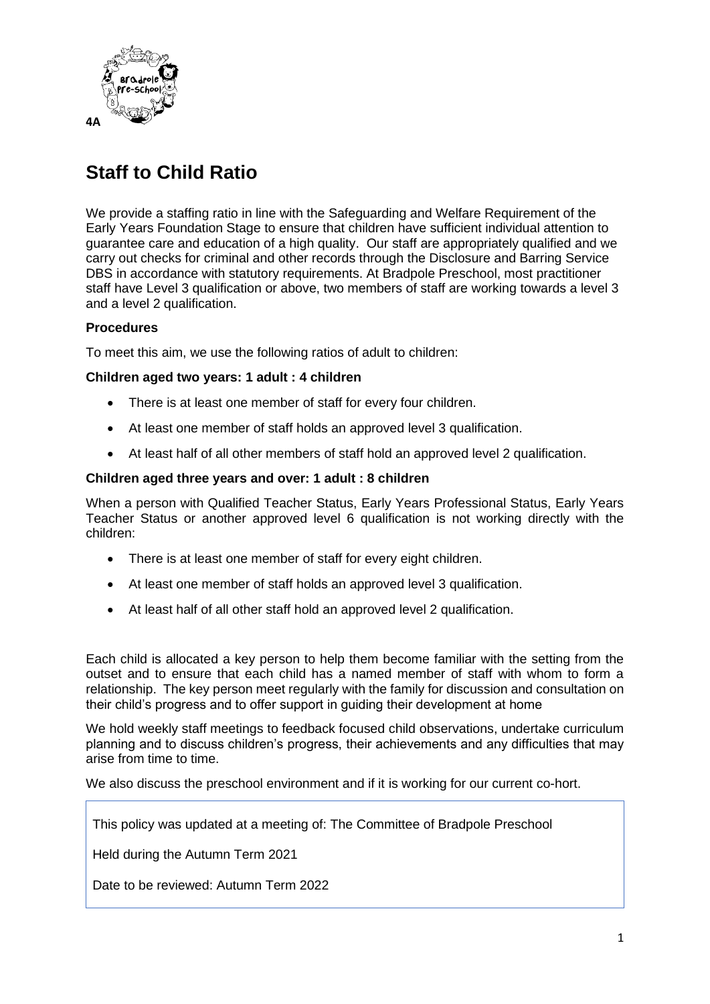

## **Staff to Child Ratio**

We provide a staffing ratio in line with the Safeguarding and Welfare Requirement of the Early Years Foundation Stage to ensure that children have sufficient individual attention to guarantee care and education of a high quality. Our staff are appropriately qualified and we carry out checks for criminal and other records through the Disclosure and Barring Service DBS in accordance with statutory requirements. At Bradpole Preschool, most practitioner staff have Level 3 qualification or above, two members of staff are working towards a level 3 and a level 2 qualification.

## **Procedures**

To meet this aim, we use the following ratios of adult to children:

## **Children aged two years: 1 adult : 4 children**

- There is at least one member of staff for every four children.
- At least one member of staff holds an approved level 3 qualification.
- At least half of all other members of staff hold an approved level 2 qualification.

## **Children aged three years and over: 1 adult : 8 children**

When a person with Qualified Teacher Status, Early Years Professional Status, Early Years Teacher Status or another approved level 6 qualification is not working directly with the children:

- There is at least one member of staff for every eight children.
- At least one member of staff holds an approved level 3 qualification.
- At least half of all other staff hold an approved level 2 qualification.

Each child is allocated a key person to help them become familiar with the setting from the outset and to ensure that each child has a named member of staff with whom to form a relationship. The key person meet regularly with the family for discussion and consultation on their child's progress and to offer support in guiding their development at home

We hold weekly staff meetings to feedback focused child observations, undertake curriculum planning and to discuss children's progress, their achievements and any difficulties that may arise from time to time.

We also discuss the preschool environment and if it is working for our current co-hort.

This policy was updated at a meeting of: The Committee of Bradpole Preschool

Held during the Autumn Term 2021

Date to be reviewed: Autumn Term 2022